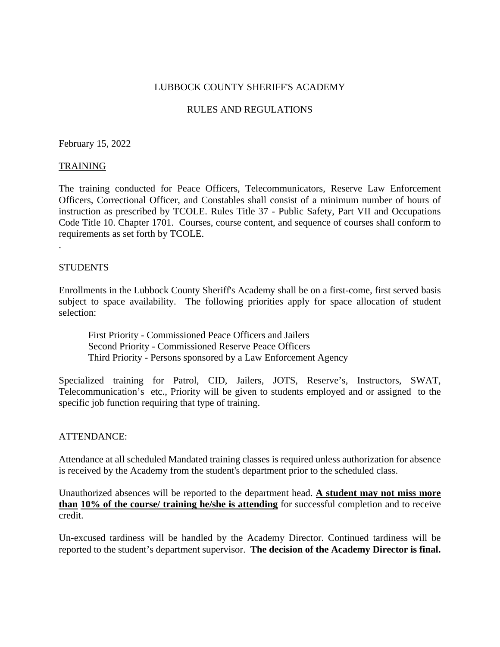## LUBBOCK COUNTY SHERIFF'S ACADEMY

## RULES AND REGULATIONS

February 15, 2022

#### TRAINING

The training conducted for Peace Officers, Telecommunicators, Reserve Law Enforcement Officers, Correctional Officer, and Constables shall consist of a minimum number of hours of instruction as prescribed by TCOLE. Rules Title 37 - Public Safety, Part VII and Occupations Code Title 10. Chapter 1701. Courses, course content, and sequence of courses shall conform to requirements as set forth by TCOLE.

#### STUDENTS

.

Enrollments in the Lubbock County Sheriff's Academy shall be on a first-come, first served basis subject to space availability. The following priorities apply for space allocation of student selection:

First Priority - Commissioned Peace Officers and Jailers Second Priority - Commissioned Reserve Peace Officers Third Priority - Persons sponsored by a Law Enforcement Agency

Specialized training for Patrol, CID, Jailers, JOTS, Reserve's, Instructors, SWAT, Telecommunication's etc., Priority will be given to students employed and or assigned to the specific job function requiring that type of training.

#### ATTENDANCE:

Attendance at all scheduled Mandated training classes is required unless authorization for absence is received by the Academy from the student's department prior to the scheduled class.

Unauthorized absences will be reported to the department head. **A student may not miss more than 10% of the course/ training he/she is attending** for successful completion and to receive credit.

Un-excused tardiness will be handled by the Academy Director. Continued tardiness will be reported to the student's department supervisor. **The decision of the Academy Director is final.**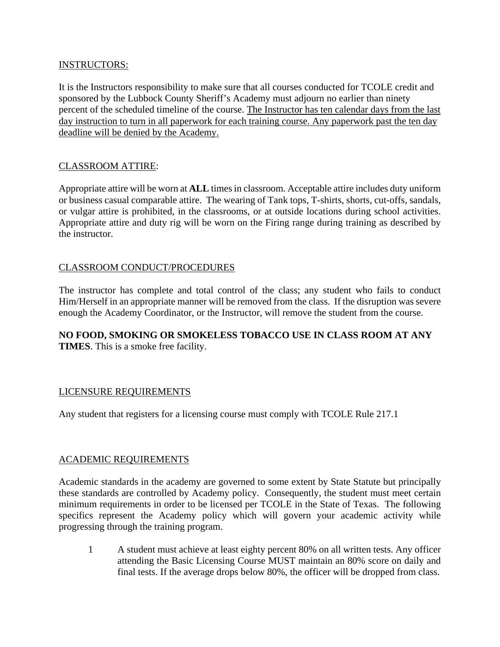## INSTRUCTORS:

It is the Instructors responsibility to make sure that all courses conducted for TCOLE credit and sponsored by the Lubbock County Sheriff's Academy must adjourn no earlier than ninety percent of the scheduled timeline of the course. The Instructor has ten calendar days from the last day instruction to turn in all paperwork for each training course. Any paperwork past the ten day deadline will be denied by the Academy.

# CLASSROOM ATTIRE:

Appropriate attire will be worn at **ALL** times in classroom. Acceptable attire includes duty uniform or business casual comparable attire. The wearing of Tank tops, T-shirts, shorts, cut-offs, sandals, or vulgar attire is prohibited, in the classrooms, or at outside locations during school activities. Appropriate attire and duty rig will be worn on the Firing range during training as described by the instructor.

## CLASSROOM CONDUCT/PROCEDURES

The instructor has complete and total control of the class; any student who fails to conduct Him/Herself in an appropriate manner will be removed from the class. If the disruption was severe enough the Academy Coordinator, or the Instructor, will remove the student from the course.

## **NO FOOD, SMOKING OR SMOKELESS TOBACCO USE IN CLASS ROOM AT ANY TIMES**. This is a smoke free facility.

# LICENSURE REQUIREMENTS

Any student that registers for a licensing course must comply with TCOLE Rule 217.1

#### ACADEMIC REQUIREMENTS

Academic standards in the academy are governed to some extent by State Statute but principally these standards are controlled by Academy policy. Consequently, the student must meet certain minimum requirements in order to be licensed per TCOLE in the State of Texas. The following specifics represent the Academy policy which will govern your academic activity while progressing through the training program.

1 A student must achieve at least eighty percent 80% on all written tests. Any officer attending the Basic Licensing Course MUST maintain an 80% score on daily and final tests. If the average drops below 80%, the officer will be dropped from class.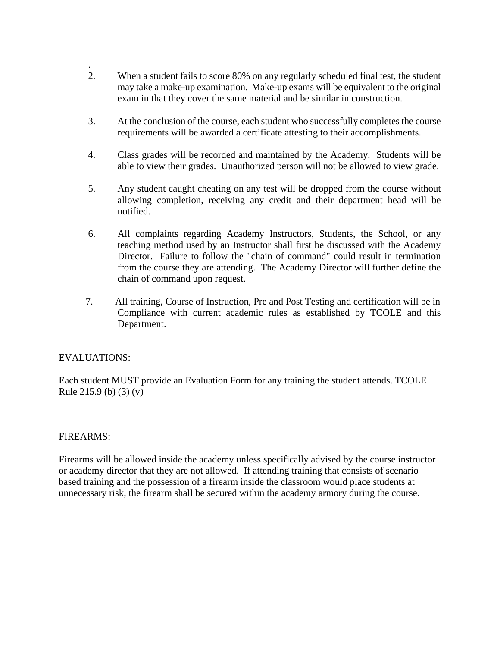- . 2. When a student fails to score 80% on any regularly scheduled final test, the student may take a make-up examination. Make-up exams will be equivalent to the original exam in that they cover the same material and be similar in construction.
- 3. At the conclusion of the course, each student who successfully completes the course requirements will be awarded a certificate attesting to their accomplishments.
- 4. Class grades will be recorded and maintained by the Academy. Students will be able to view their grades. Unauthorized person will not be allowed to view grade.
- 5. Any student caught cheating on any test will be dropped from the course without allowing completion, receiving any credit and their department head will be notified.
- 6. All complaints regarding Academy Instructors, Students, the School, or any teaching method used by an Instructor shall first be discussed with the Academy Director. Failure to follow the "chain of command" could result in termination from the course they are attending. The Academy Director will further define the chain of command upon request.
- 7. All training, Course of Instruction, Pre and Post Testing and certification will be in Compliance with current academic rules as established by TCOLE and this Department.

# EVALUATIONS:

Each student MUST provide an Evaluation Form for any training the student attends. TCOLE Rule 215.9 (b) (3) (v)

#### FIREARMS:

Firearms will be allowed inside the academy unless specifically advised by the course instructor or academy director that they are not allowed. If attending training that consists of scenario based training and the possession of a firearm inside the classroom would place students at unnecessary risk, the firearm shall be secured within the academy armory during the course.